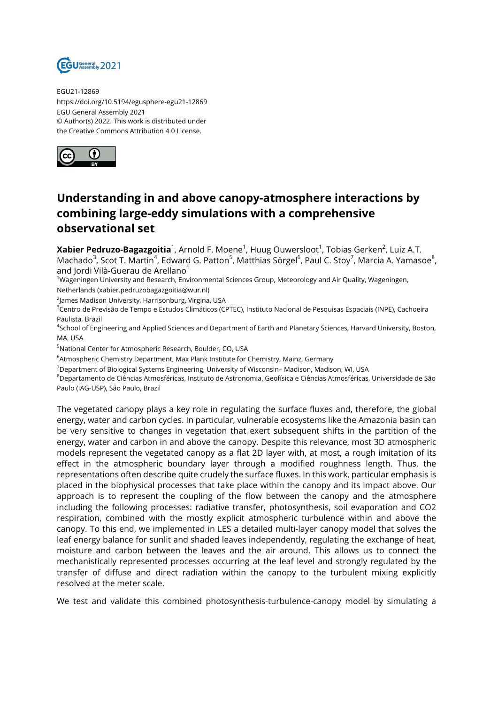

EGU21-12869 https://doi.org/10.5194/egusphere-egu21-12869 EGU General Assembly 2021 © Author(s) 2022. This work is distributed under the Creative Commons Attribution 4.0 License.



## **Understanding in and above canopy-atmosphere interactions by combining large-eddy simulations with a comprehensive observational set**

**Xabier Pedruzo-Bagazgoitia** $^1$ , Arnold F. Moene $^1$ , Huug Ouwersloot $^1$ , Tobias Gerken $^2$ , Luiz A.T. Machado<sup>3</sup>, Scot T. Martin<sup>4</sup>, Edward G. Patton<sup>5</sup>, Matthias Sörgel<sup>6</sup>, Paul C. Stoy<sup>7</sup>, Marcia A. Yamasoe<sup>8</sup>, and Jordi Vilà-Guerau de Arellano<sup>1</sup>

<sup>1</sup>Wageningen University and Research, Environmental Sciences Group, Meteorology and Air Quality, Wageningen, Netherlands (xabier.pedruzobagazgoitia@wur.nl)

 $^2$ James Madison University, Harrisonburg, Virgina, USA

3<br>Centro de Previsão de Tempo e Estudos Climáticos (CPTEC), Instituto Nacional de Pesquisas Espaciais (INPE), Cachoeira Paulista, Brazil

4 School of Engineering and Applied Sciences and Department of Earth and Planetary Sciences, Harvard University, Boston, MA, USA

<sup>5</sup>National Center for Atmospheric Research, Boulder, CO, USA

<sup>6</sup>Atmospheric Chemistry Department, Max Plank Institute for Chemistry, Mainz, Germany

<sup>7</sup>Department of Biological Systems Engineering, University of Wisconsin– Madison, Madison, WI, USA

<sup>8</sup>Departamento de Ciências Atmosféricas, Instituto de Astronomia, Geofísica e Ciências Atmosféricas, Universidade de São Paulo (IAG-USP), São Paulo, Brazil

The vegetated canopy plays a key role in regulating the surface fluxes and, therefore, the global energy, water and carbon cycles. In particular, vulnerable ecosystems like the Amazonia basin can be very sensitive to changes in vegetation that exert subsequent shifts in the partition of the energy, water and carbon in and above the canopy. Despite this relevance, most 3D atmospheric models represent the vegetated canopy as a flat 2D layer with, at most, a rough imitation of its effect in the atmospheric boundary layer through a modified roughness length. Thus, the representations often describe quite crudely the surface fluxes. In this work, particular emphasis is placed in the biophysical processes that take place within the canopy and its impact above. Our approach is to represent the coupling of the flow between the canopy and the atmosphere including the following processes: radiative transfer, photosynthesis, soil evaporation and CO2 respiration, combined with the mostly explicit atmospheric turbulence within and above the canopy. To this end, we implemented in LES a detailed multi-layer canopy model that solves the leaf energy balance for sunlit and shaded leaves independently, regulating the exchange of heat, moisture and carbon between the leaves and the air around. This allows us to connect the mechanistically represented processes occurring at the leaf level and strongly regulated by the transfer of diffuse and direct radiation within the canopy to the turbulent mixing explicitly resolved at the meter scale.

We test and validate this combined photosynthesis-turbulence-canopy model by simulating a